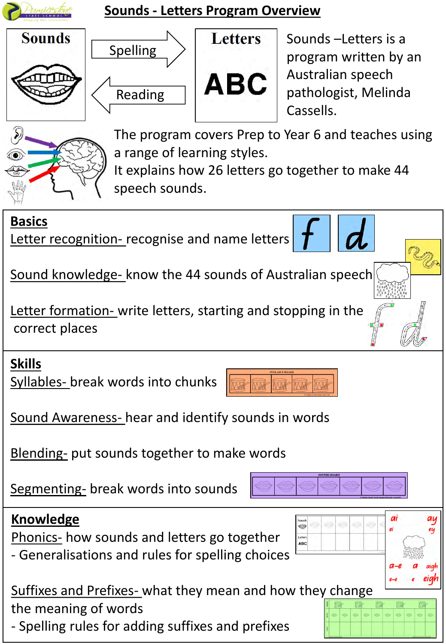

## **Sounds - Letters Program Overview**







Sounds –Letters is a program written by an Australian speech pathologist, Melinda Cassells.



The program covers Prep to Year 6 and teaches using a range of learning styles.

It explains how 26 letters go together to make 44 speech sounds.